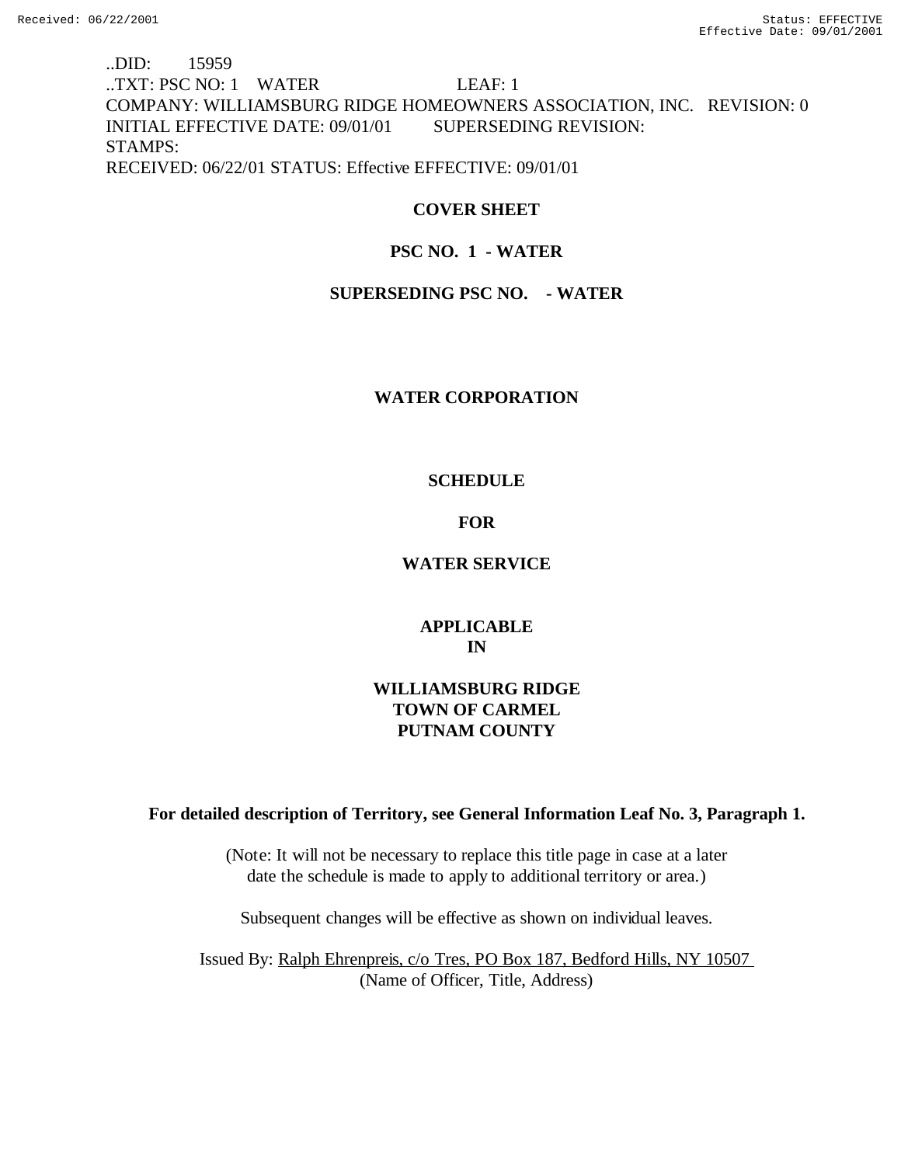# ..DID: 15959 ..TXT: PSC NO: 1 WATER LEAF: 1 COMPANY: WILLIAMSBURG RIDGE HOMEOWNERS ASSOCIATION, INC. REVISION: 0 INITIAL EFFECTIVE DATE: 09/01/01 SUPERSEDING REVISION: STAMPS: RECEIVED: 06/22/01 STATUS: Effective EFFECTIVE: 09/01/01

# **COVER SHEET**

# **PSC NO. 1 - WATER**

## **SUPERSEDING PSC NO. - WATER**

## **WATER CORPORATION**

## **SCHEDULE**

## **FOR**

## **WATER SERVICE**

# **APPLICABLE IN**

# **WILLIAMSBURG RIDGE TOWN OF CARMEL PUTNAM COUNTY**

## **For detailed description of Territory, see General Information Leaf No. 3, Paragraph 1.**

(Note: It will not be necessary to replace this title page in case at a later date the schedule is made to apply to additional territory or area.)

Subsequent changes will be effective as shown on individual leaves.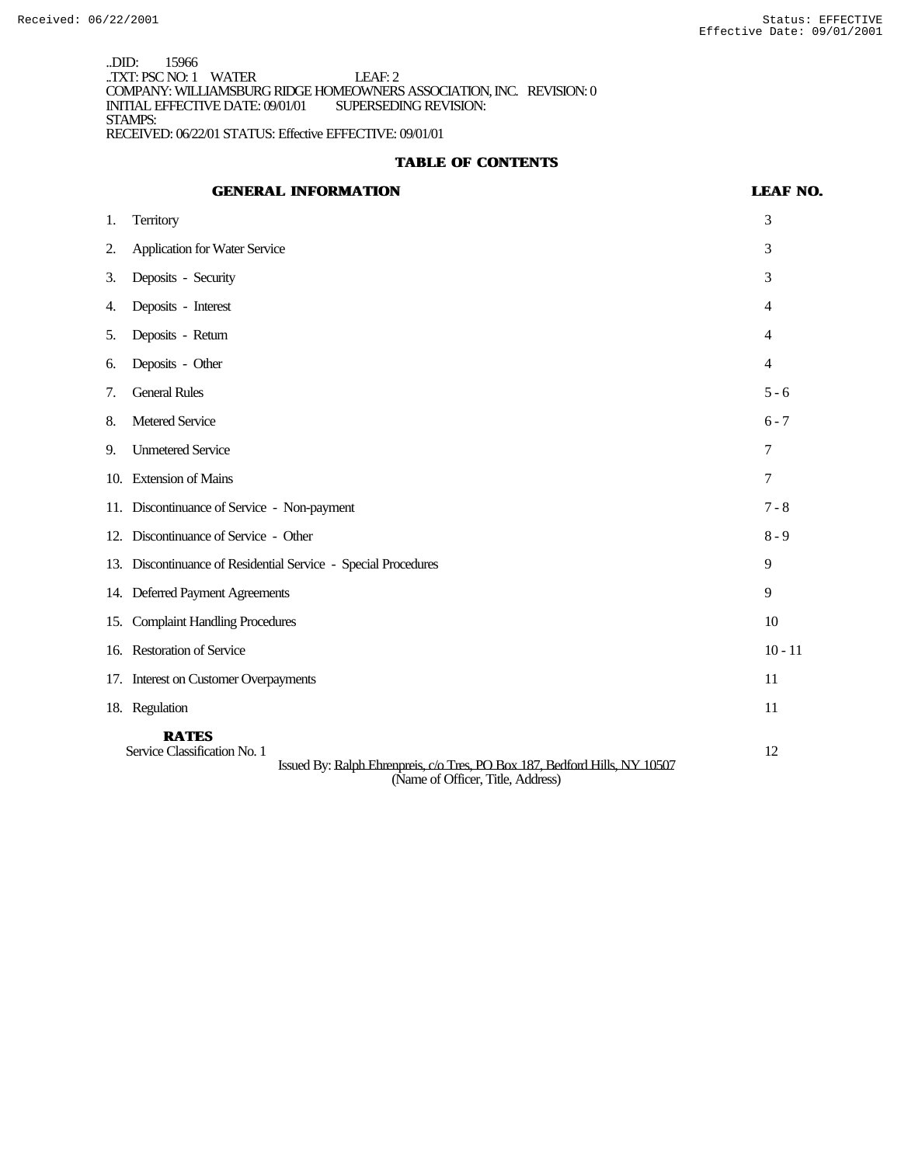..DID: 15966 ..TXT: PSC NO: 1 WATER LEAF: 2 COMPANY: WILLIAMSBURG RIDGE HOMEOWNERS ASSOCIATION, INC. REVISION: 0 INITIAL EFFECTIVE DATE: 09/01/01 STAMPS: RECEIVED: 06/22/01 STATUS: Effective EFFECTIVE: 09/01/01

## **TABLE OF CONTENTS**

# **GENERAL INFORMATION LEAF NO.** 1. Territory 3 2. Application for Water Service 3 3. Deposits - Security 3 4. Deposits - Interest 4 5. Deposits - Return 4 6. Deposits - Other 4 7. General Rules 5 - 6 8. Metered Service 6 - 7 9. Unmetered Service 7 10. Extension of Mains 7 11. Discontinuance of Service - Non-payment 7 - 8 12. Discontinuance of Service - Other 8 - 9 13. Discontinuance of Residential Service - Special Procedures 9 14. Deferred Payment Agreements 9 15. Complaint Handling Procedures 10 16. Restoration of Service 10 - 11 17. Interest on Customer Overpayments 11 18. Regulation 11 **RATES**<br>Service Classification No. 1 Service Classification No. 1 12 Issued By: Ralph Ehrenpreis, c/o Tres, PO Box 187, Bedford Hills, NY 10507

(Name of Officer, Title, Address)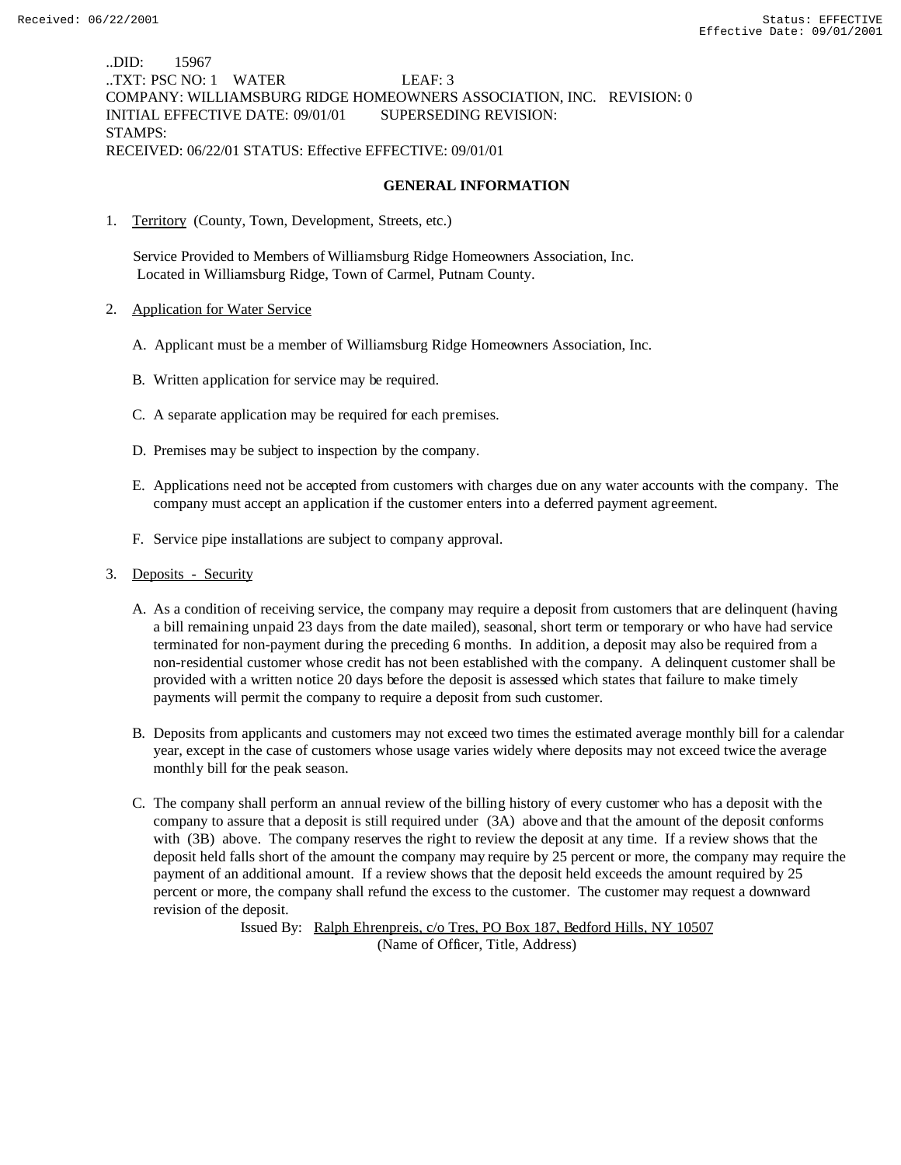..DID: 15967 ..TXT: PSC NO: 1 WATER LEAF: 3 COMPANY: WILLIAMSBURG RIDGE HOMEOWNERS ASSOCIATION, INC. REVISION: 0 INITIAL EFFECTIVE DATE: 09/01/01 SUPERSEDING REVISION: STAMPS: RECEIVED: 06/22/01 STATUS: Effective EFFECTIVE: 09/01/01

### **GENERAL INFORMATION**

1. Territory (County, Town, Development, Streets, etc.)

 Service Provided to Members of Williamsburg Ridge Homeowners Association, Inc. Located in Williamsburg Ridge, Town of Carmel, Putnam County.

- 2. Application for Water Service
	- A. Applicant must be a member of Williamsburg Ridge Homeowners Association, Inc.
	- B. Written application for service may be required.
	- C. A separate application may be required for each premises.
	- D. Premises may be subject to inspection by the company.
	- E. Applications need not be accepted from customers with charges due on any water accounts with the company. The company must accept an application if the customer enters into a deferred payment agreement.
	- F. Service pipe installations are subject to company approval.
- 3. Deposits Security
	- A. As a condition of receiving service, the company may require a deposit from customers that are delinquent (having a bill remaining unpaid 23 days from the date mailed), seasonal, short term or temporary or who have had service terminated for non-payment during the preceding 6 months. In addition, a deposit may also be required from a non-residential customer whose credit has not been established with the company. A delinquent customer shall be provided with a written notice 20 days before the deposit is assessed which states that failure to make timely payments will permit the company to require a deposit from such customer.
	- B. Deposits from applicants and customers may not exceed two times the estimated average monthly bill for a calendar year, except in the case of customers whose usage varies widely where deposits may not exceed twice the average monthly bill for the peak season.
	- C. The company shall perform an annual review of the billing history of every customer who has a deposit with the company to assure that a deposit is still required under (3A) above and that the amount of the deposit conforms with (3B) above. The company reserves the right to review the deposit at any time. If a review shows that the deposit held falls short of the amount the company may require by 25 percent or more, the company may require the payment of an additional amount. If a review shows that the deposit held exceeds the amount required by 25 percent or more, the company shall refund the excess to the customer. The customer may request a downward revision of the deposit.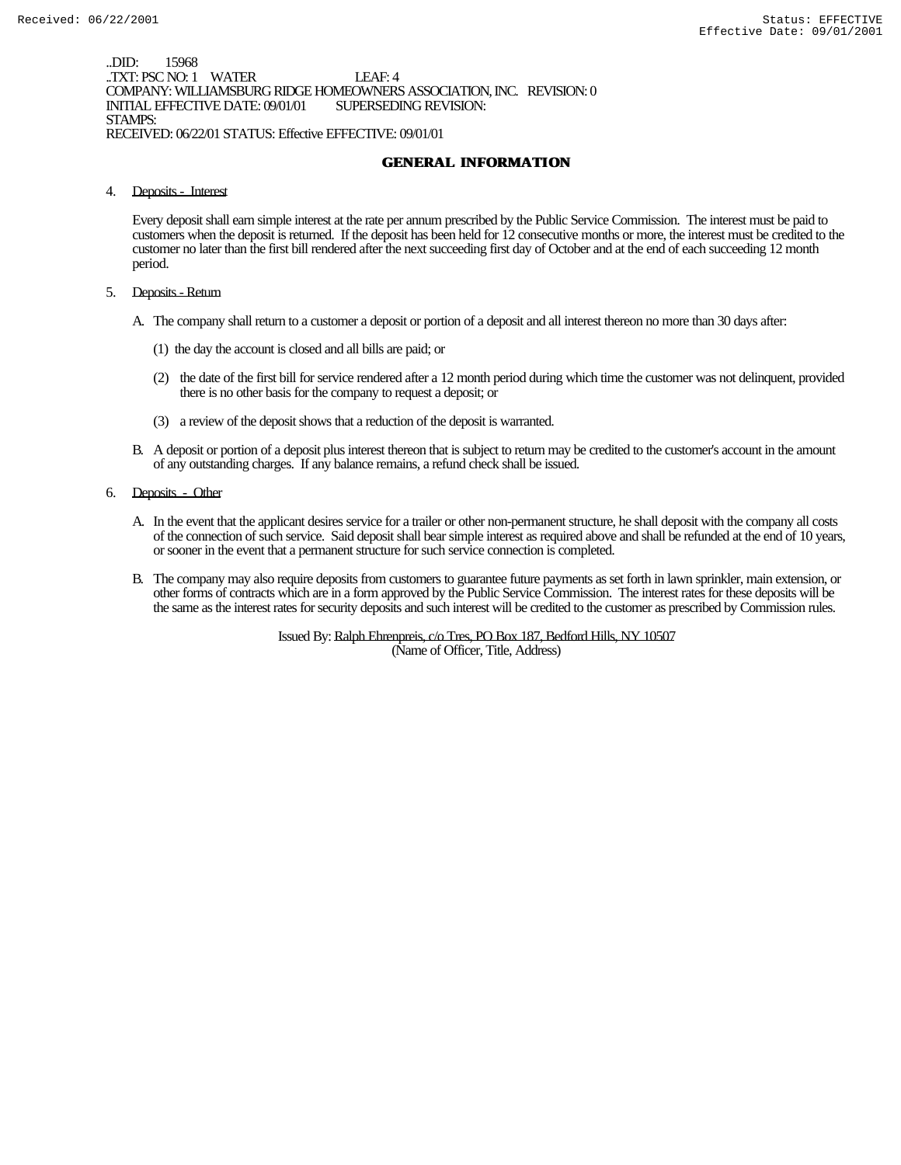..DID: 15968 ..TXT: PSC NO: 1 WATER LEAF: 4 COMPANY: WILLIAMSBURG RIDGE HOMEOWNERS ASSOCIATION, INC. REVISION: 0 INITIAL EFFECTIVE DATE: 09/01/01 STAMPS: RECEIVED: 06/22/01 STATUS: Effective EFFECTIVE: 09/01/01

## **GENERAL INFORMATION**

4. Deposits - Interest

Every deposit shall earn simple interest at the rate per annum prescribed by the Public Service Commission. The interest must be paid to customers when the deposit is returned. If the deposit has been held for 12 consecutive months or more, the interest must be credited to the customer no later than the first bill rendered after the next succeeding first day of October and at the end of each succeeding 12 month period.

- 5. Deposits Return
	- A. The company shall return to a customer a deposit or portion of a deposit and all interest thereon no more than 30 days after:
		- (1) the day the account is closed and all bills are paid; or
		- (2) the date of the first bill for service rendered after a 12 month period during which time the customer was not delinquent, provided there is no other basis for the company to request a deposit; or
		- (3) a review of the deposit shows that a reduction of the deposit is warranted.
	- B. A deposit or portion of a deposit plus interest thereon that is subject to return may be credited to the customer's account in the amount of any outstanding charges. If any balance remains, a refund check shall be issued.
- 6. Deposits Other
	- A. In the event that the applicant desires service for a trailer or other non-permanent structure, he shall deposit with the company all costs of the connection of such service. Said deposit shall bear simple interest as required above and shall be refunded at the end of 10 years, or sooner in the event that a permanent structure for such service connection is completed.
	- B. The company may also require deposits from customers to guarantee future payments as set forth in lawn sprinkler, main extension, or other forms of contracts which are in a form approved by the Public Service Commission. The interest rates for these deposits will be the same as the interest rates for security deposits and such interest will be credited to the customer as prescribed by Commission rules.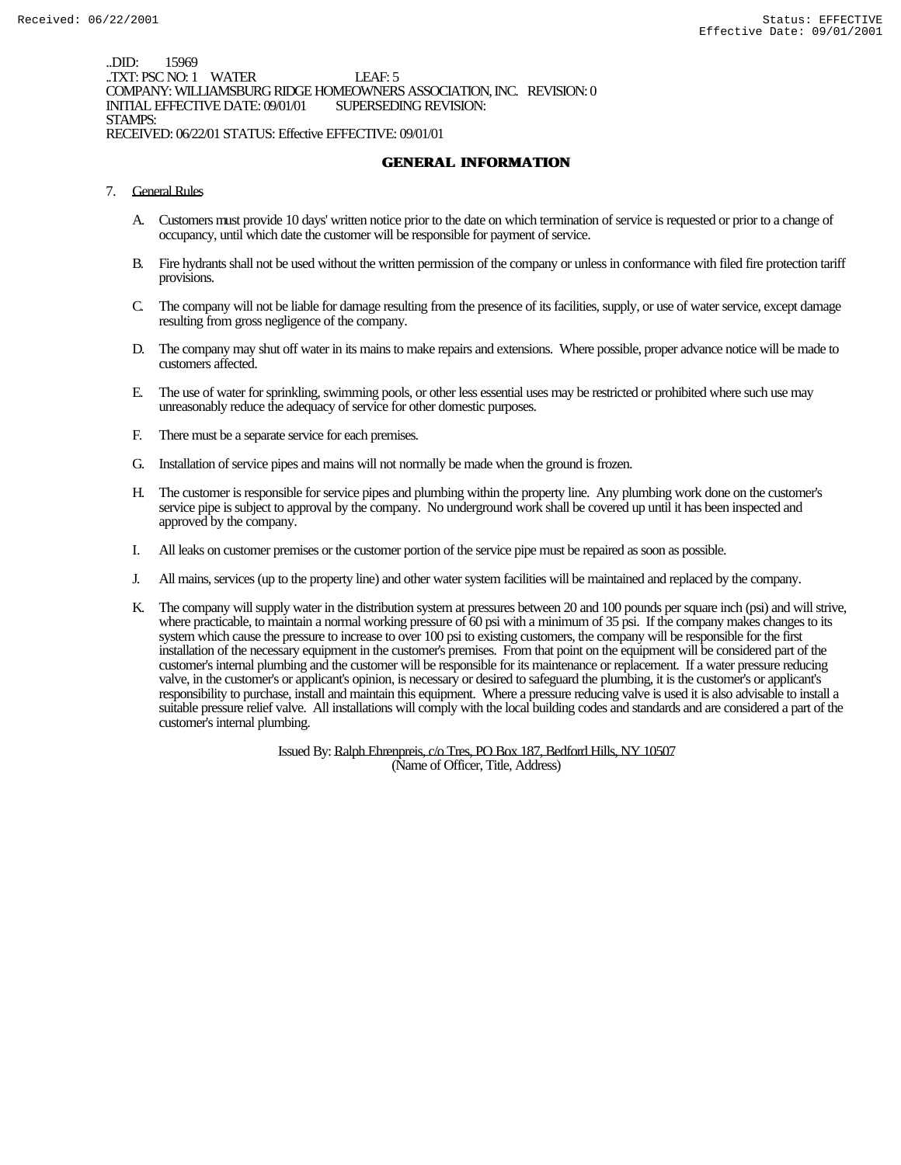..DID: 15969 ..TXT: PSC NO: 1 WATER LEAF: 5 COMPANY: WILLIAMSBURG RIDGE HOMEOWNERS ASSOCIATION, INC. REVISION: 0 INITIAL EFFECTIVE DATE: 09/01/01 STAMPS: RECEIVED: 06/22/01 STATUS: Effective EFFECTIVE: 09/01/01

# **GENERAL INFORMATION**

- 7. General Rules
	- A. Customers must provide 10 days' written notice prior to the date on which termination of service is requested or prior to a change of occupancy, until which date the customer will be responsible for payment of service.
	- B. Fire hydrants shall not be used without the written permission of the company or unless in conformance with filed fire protection tariff provisions.
	- C. The company will not be liable for damage resulting from the presence of its facilities, supply, or use of water service, except damage resulting from gross negligence of the company.
	- D. The company may shut off water in its mains to make repairs and extensions. Where possible, proper advance notice will be made to customers affected.
	- E. The use of water for sprinkling, swimming pools, or other less essential uses may be restricted or prohibited where such use may unreasonably reduce the adequacy of service for other domestic purposes.
	- F. There must be a separate service for each premises.
	- G. Installation of service pipes and mains will not normally be made when the ground is frozen.
	- H. The customer is responsible for service pipes and plumbing within the property line. Any plumbing work done on the customer's service pipe is subject to approval by the company. No underground work shall be covered up until it has been inspected and approved by the company.
	- I. All leaks on customer premises or the customer portion of the service pipe must be repaired as soon as possible.
	- J. All mains, services (up to the property line) and other water system facilities will be maintained and replaced by the company.
	- K. The company will supply water in the distribution system at pressures between 20 and 100 pounds per square inch (psi) and will strive, where practicable, to maintain a normal working pressure of 60 psi with a minimum of 35 psi. If the company makes changes to its system which cause the pressure to increase to over 100 psi to existing customers, the company will be responsible for the first installation of the necessary equipment in the customer's premises. From that point on the equipment will be considered part of the customer's internal plumbing and the customer will be responsible for its maintenance or replacement. If a water pressure reducing valve, in the customer's or applicant's opinion, is necessary or desired to safeguard the plumbing, it is the customer's or applicant's responsibility to purchase, install and maintain this equipment. Where a pressure reducing valve is used it is also advisable to install a suitable pressure relief valve. All installations will comply with the local building codes and standards and are considered a part of the customer's internal plumbing.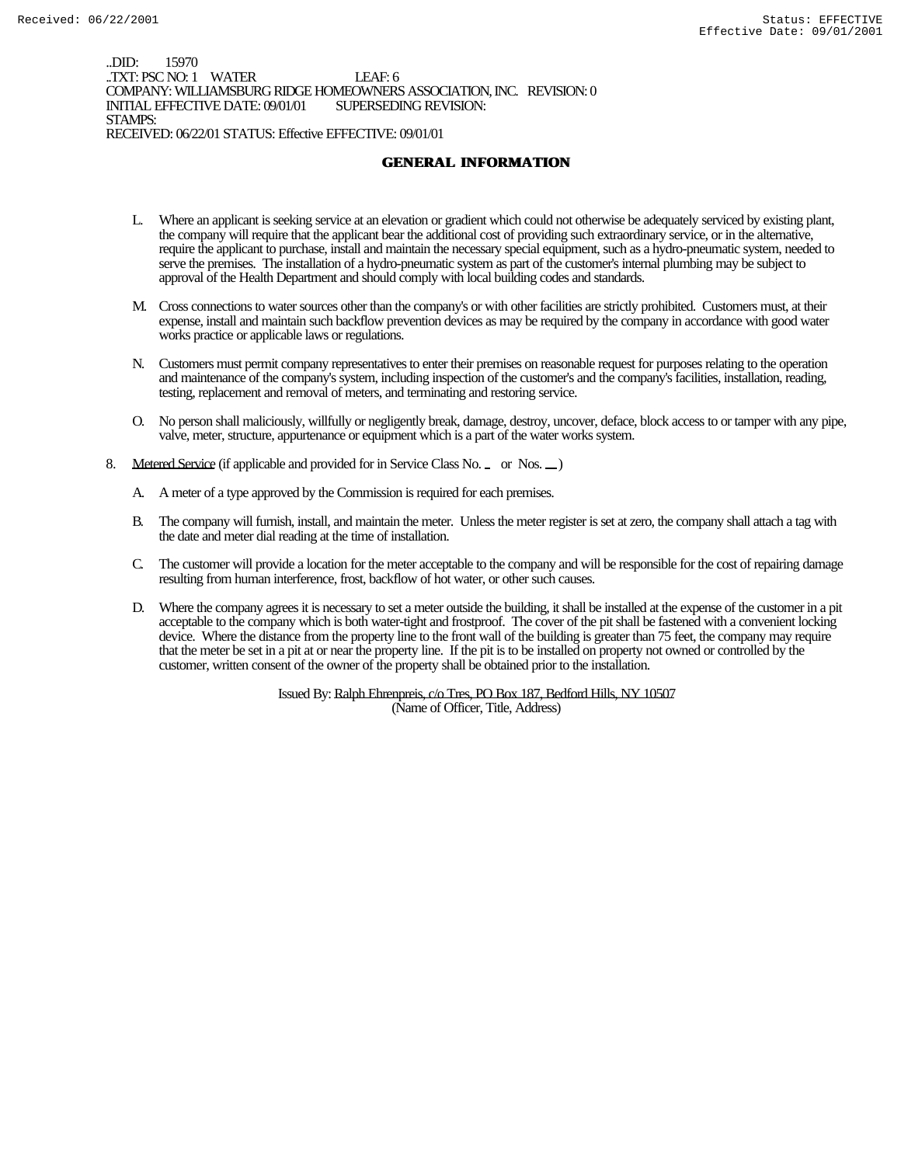..DID: 15970 ..TXT: PSC NO: 1 WATER LEAF: 6 COMPANY: WILLIAMSBURG RIDGE HOMEOWNERS ASSOCIATION, INC. REVISION: 0 INITIAL EFFECTIVE DATE: 09/01/01 STAMPS: RECEIVED: 06/22/01 STATUS: Effective EFFECTIVE: 09/01/01

### **GENERAL INFORMATION**

- L. Where an applicant is seeking service at an elevation or gradient which could not otherwise be adequately serviced by existing plant, the company will require that the applicant bear the additional cost of providing such extraordinary service, or in the alternative, require the applicant to purchase, install and maintain the necessary special equipment, such as a hydro-pneumatic system, needed to serve the premises. The installation of a hydro-pneumatic system as part of the customer's internal plumbing may be subject to approval of the Health Department and should comply with local building codes and standards.
- M. Cross connections to water sources other than the company's or with other facilities are strictly prohibited. Customers must, at their expense, install and maintain such backflow prevention devices as may be required by the company in accordance with good water works practice or applicable laws or regulations.
- N. Customers must permit company representatives to enter their premises on reasonable request for purposes relating to the operation and maintenance of the company's system, including inspection of the customer's and the company's facilities, installation, reading, testing, replacement and removal of meters, and terminating and restoring service.
- O. No person shall maliciously, willfully or negligently break, damage, destroy, uncover, deface, block access to or tamper with any pipe, valve, meter, structure, appurtenance or equipment which is a part of the water works system.
- 8. Metered Service (if applicable and provided for in Service Class No. \_ or Nos. \_)
	- A. A meter of a type approved by the Commission is required for each premises.
	- B. The company will furnish, install, and maintain the meter. Unless the meter register is set at zero, the company shall attach a tag with the date and meter dial reading at the time of installation.
	- C. The customer will provide a location for the meter acceptable to the company and will be responsible for the cost of repairing damage resulting from human interference, frost, backflow of hot water, or other such causes.
	- D. Where the company agrees it is necessary to set a meter outside the building, it shall be installed at the expense of the customer in a pit acceptable to the company which is both water-tight and frostproof. The cover of the pit shall be fastened with a convenient locking device. Where the distance from the property line to the front wall of the building is greater than 75 feet, the company may require that the meter be set in a pit at or near the property line. If the pit is to be installed on property not owned or controlled by the customer, written consent of the owner of the property shall be obtained prior to the installation.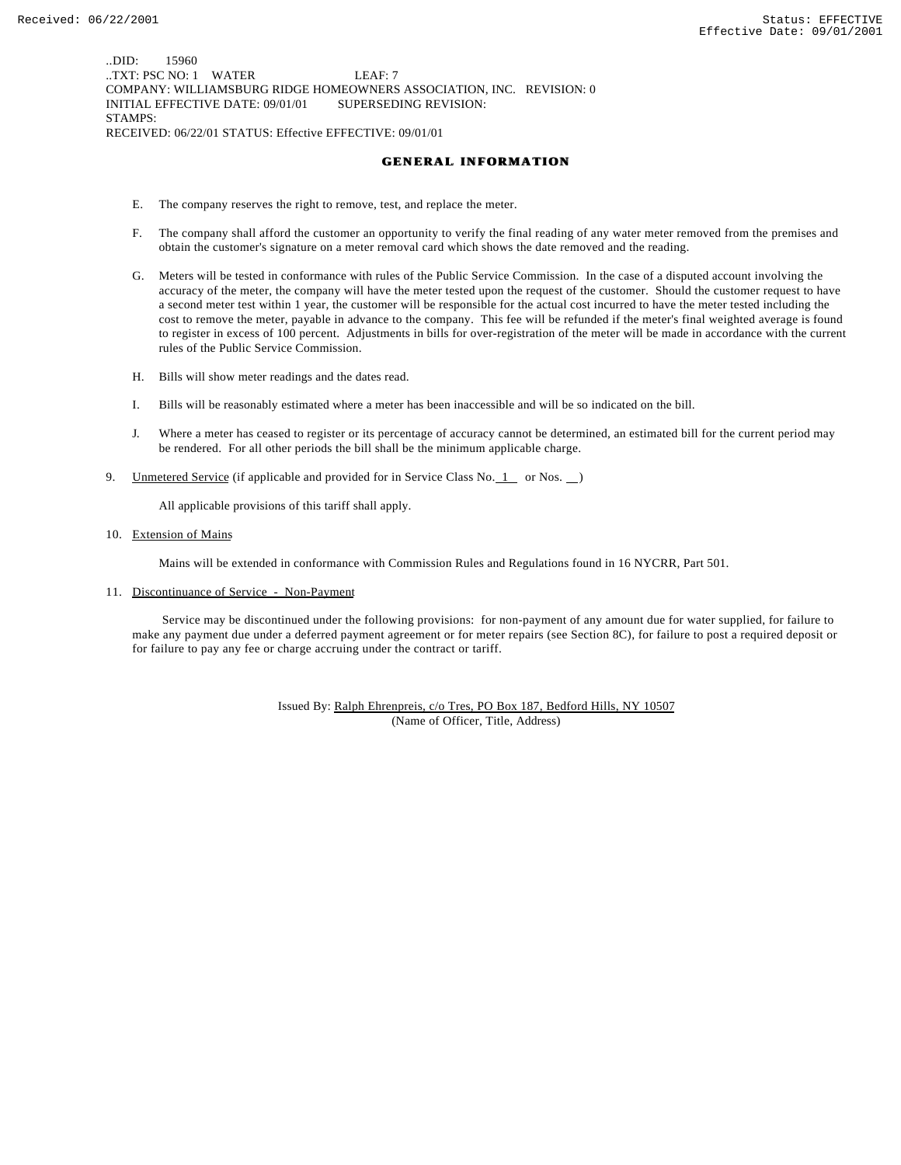..DID: 15960 ..TXT: PSC NO: 1 WATER LEAF: 7 COMPANY: WILLIAMSBURG RIDGE HOMEOWNERS ASSOCIATION, INC. REVISION: 0 INITIAL EFFECTIVE DATE: 09/01/01 SUPERSEDING REVISION: STAMPS: RECEIVED: 06/22/01 STATUS: Effective EFFECTIVE: 09/01/01

#### **GENERAL INFORMATION**

- E. The company reserves the right to remove, test, and replace the meter.
- F. The company shall afford the customer an opportunity to verify the final reading of any water meter removed from the premises and obtain the customer's signature on a meter removal card which shows the date removed and the reading.
- G. Meters will be tested in conformance with rules of the Public Service Commission. In the case of a disputed account involving the accuracy of the meter, the company will have the meter tested upon the request of the customer. Should the customer request to have a second meter test within 1 year, the customer will be responsible for the actual cost incurred to have the meter tested including the cost to remove the meter, payable in advance to the company. This fee will be refunded if the meter's final weighted average is found to register in excess of 100 percent. Adjustments in bills for over-registration of the meter will be made in accordance with the current rules of the Public Service Commission.
- H. Bills will show meter readings and the dates read.
- I. Bills will be reasonably estimated where a meter has been inaccessible and will be so indicated on the bill.
- J. Where a meter has ceased to register or its percentage of accuracy cannot be determined, an estimated bill for the current period may be rendered. For all other periods the bill shall be the minimum applicable charge.
- 9. Unmetered Service (if applicable and provided for in Service Class No.  $1$  or Nos.  $)$

All applicable provisions of this tariff shall apply.

10. Extension of Mains

Mains will be extended in conformance with Commission Rules and Regulations found in 16 NYCRR, Part 501.

11. Discontinuance of Service - Non-Payment

 Service may be discontinued under the following provisions: for non-payment of any amount due for water supplied, for failure to make any payment due under a deferred payment agreement or for meter repairs (see Section 8C), for failure to post a required deposit or for failure to pay any fee or charge accruing under the contract or tariff.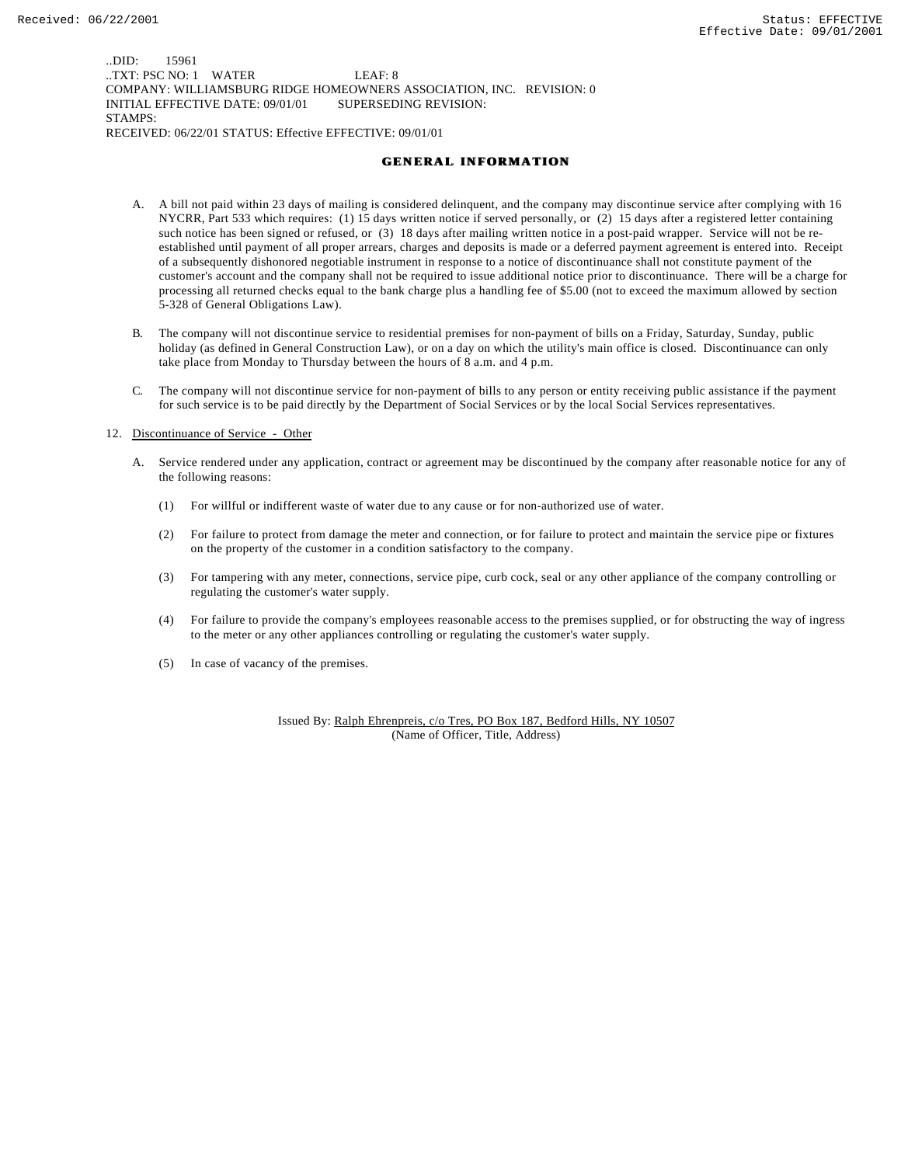..DID: 15961 ..TXT: PSC NO: 1 WATER LEAF: 8 COMPANY: WILLIAMSBURG RIDGE HOMEOWNERS ASSOCIATION, INC. REVISION: 0 INITIAL EFFECTIVE DATE: 09/01/01 SUPERSEDING REVISION: STAMPS: RECEIVED: 06/22/01 STATUS: Effective EFFECTIVE: 09/01/01

#### **GENERAL INFORMATION**

- A. A bill not paid within 23 days of mailing is considered delinquent, and the company may discontinue service after complying with 16 NYCRR, Part 533 which requires: (1) 15 days written notice if served personally, or (2) 15 days after a registered letter containing such notice has been signed or refused, or (3) 18 days after mailing written notice in a post-paid wrapper. Service will not be reestablished until payment of all proper arrears, charges and deposits is made or a deferred payment agreement is entered into. Receipt of a subsequently dishonored negotiable instrument in response to a notice of discontinuance shall not constitute payment of the customer's account and the company shall not be required to issue additional notice prior to discontinuance. There will be a charge for processing all returned checks equal to the bank charge plus a handling fee of \$5.00 (not to exceed the maximum allowed by section 5-328 of General Obligations Law).
- B. The company will not discontinue service to residential premises for non-payment of bills on a Friday, Saturday, Sunday, public holiday (as defined in General Construction Law), or on a day on which the utility's main office is closed. Discontinuance can only take place from Monday to Thursday between the hours of 8 a.m. and 4 p.m.
- C. The company will not discontinue service for non-payment of bills to any person or entity receiving public assistance if the payment for such service is to be paid directly by the Department of Social Services or by the local Social Services representatives.

#### 12. Discontinuance of Service - Other

- A. Service rendered under any application, contract or agreement may be discontinued by the company after reasonable notice for any of the following reasons:
	- (1) For willful or indifferent waste of water due to any cause or for non-authorized use of water.
	- (2) For failure to protect from damage the meter and connection, or for failure to protect and maintain the service pipe or fixtures on the property of the customer in a condition satisfactory to the company.
	- (3) For tampering with any meter, connections, service pipe, curb cock, seal or any other appliance of the company controlling or regulating the customer's water supply.
	- (4) For failure to provide the company's employees reasonable access to the premises supplied, or for obstructing the way of ingress to the meter or any other appliances controlling or regulating the customer's water supply.
	- (5) In case of vacancy of the premises.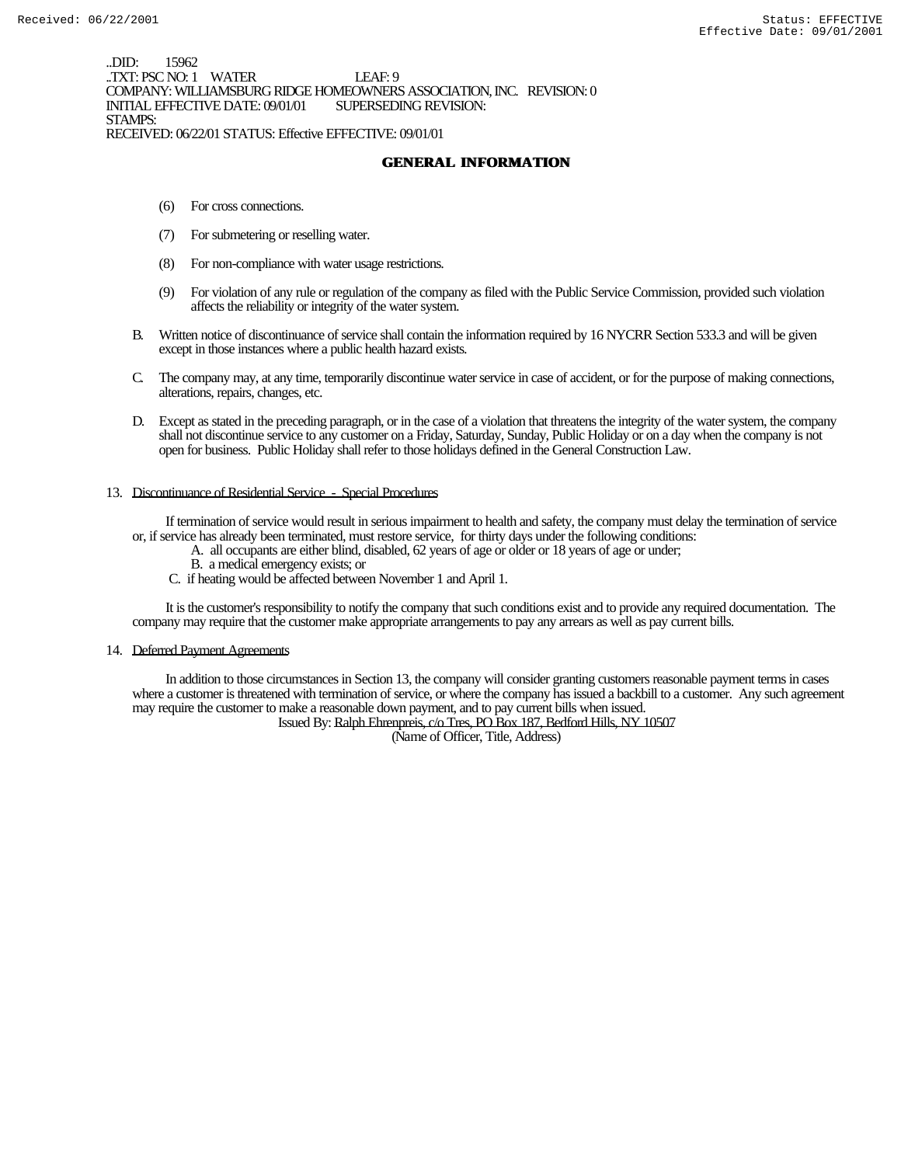..DID: 15962 .TXT: PSC NO: 1 WATER LEAF: 9 COMPANY: WILLIAMSBURG RIDGE HOMEOWNERS ASSOCIATION, INC. REVISION: 0 INITIAL EFFECTIVE DATE: 09/01/01 STAMPS: RECEIVED: 06/22/01 STATUS: Effective EFFECTIVE: 09/01/01

**GENERAL INFORMATION**

- (6) For cross connections.
- (7) For submetering or reselling water.
- (8) For non-compliance with water usage restrictions.
- (9) For violation of any rule or regulation of the company as filed with the Public Service Commission, provided such violation affects the reliability or integrity of the water system.
- B. Written notice of discontinuance of service shall contain the information required by 16 NYCRR Section 533.3 and will be given except in those instances where a public health hazard exists.
- C. The company may, at any time, temporarily discontinue water service in case of accident, or for the purpose of making connections, alterations, repairs, changes, etc.
- D. Except as stated in the preceding paragraph, or in the case of a violation that threatens the integrity of the water system, the company shall not discontinue service to any customer on a Friday, Saturday, Sunday, Public Holiday or on a day when the company is not open for business. Public Holiday shall refer to those holidays defined in the General Construction Law.

#### 13. Discontinuance of Residential Service - Special Procedures

 If termination of service would result in serious impairment to health and safety, the company must delay the termination of service or, if service has already been terminated, must restore service, for thirty days under the following conditions:

- A. all occupants are either blind, disabled, 62 years of age or older or 18 years of age or under;
	- B. a medical emergency exists; or
	- C. if heating would be affected between November 1 and April 1.

 It is the customer's responsibility to notify the company that such conditions exist and to provide any required documentation. The company may require that the customer make appropriate arrangements to pay any arrears as well as pay current bills.

#### 14. Deferred Payment Agreements

 In addition to those circumstances in Section 13, the company will consider granting customers reasonable payment terms in cases where a customer is threatened with termination of service, or where the company has issued a backbill to a customer. Any such agreement may require the customer to make a reasonable down payment, and to pay current bills when issued.

Issued By: Ralph Ehrenpreis, c/o Tres, PO Box 187, Bedford Hills, NY 10507

(Name of Officer, Title, Address)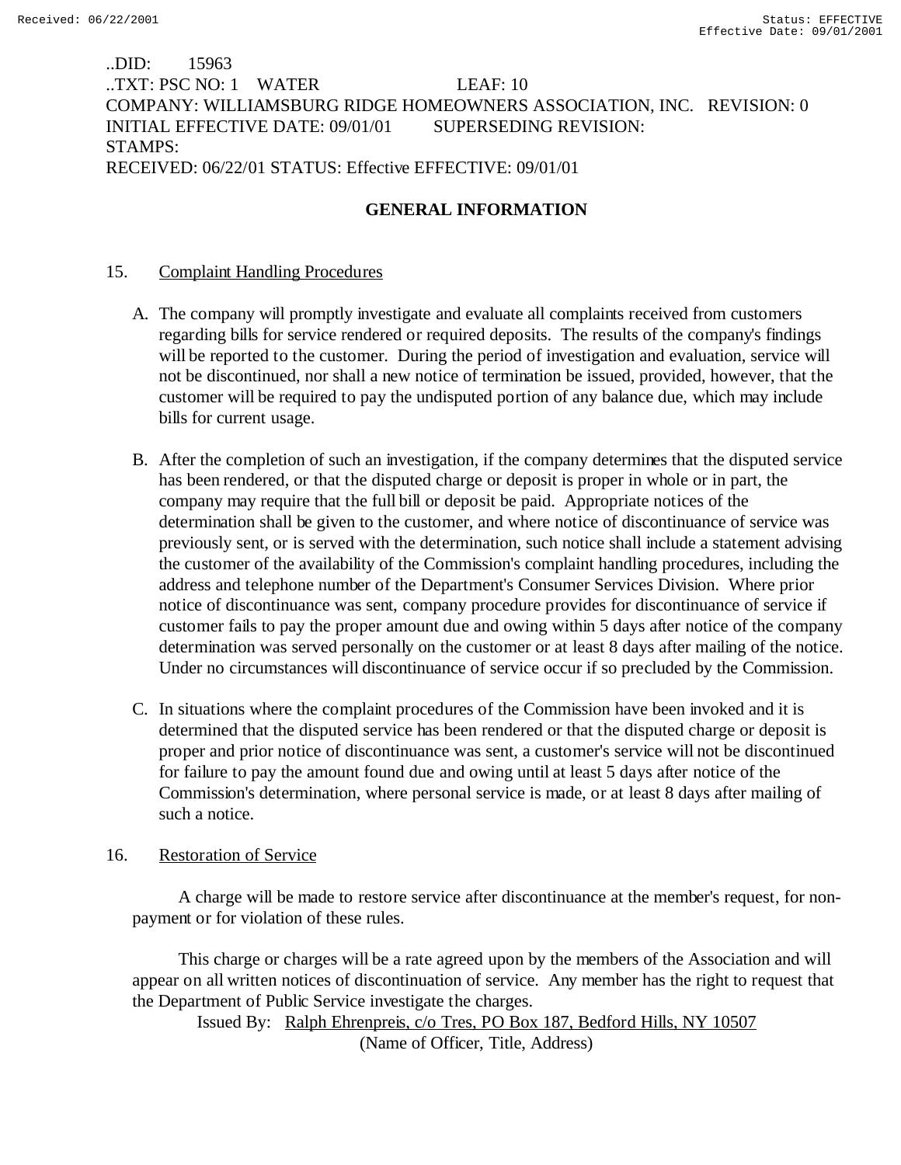# ..DID: 15963 ..TXT: PSC NO: 1 WATER LEAF: 10 COMPANY: WILLIAMSBURG RIDGE HOMEOWNERS ASSOCIATION, INC. REVISION: 0 INITIAL EFFECTIVE DATE: 09/01/01 SUPERSEDING REVISION: STAMPS: RECEIVED: 06/22/01 STATUS: Effective EFFECTIVE: 09/01/01

# **GENERAL INFORMATION**

# 15. Complaint Handling Procedures

- A. The company will promptly investigate and evaluate all complaints received from customers regarding bills for service rendered or required deposits. The results of the company's findings will be reported to the customer. During the period of investigation and evaluation, service will not be discontinued, nor shall a new notice of termination be issued, provided, however, that the customer will be required to pay the undisputed portion of any balance due, which may include bills for current usage.
- B. After the completion of such an investigation, if the company determines that the disputed service has been rendered, or that the disputed charge or deposit is proper in whole or in part, the company may require that the full bill or deposit be paid. Appropriate notices of the determination shall be given to the customer, and where notice of discontinuance of service was previously sent, or is served with the determination, such notice shall include a statement advising the customer of the availability of the Commission's complaint handling procedures, including the address and telephone number of the Department's Consumer Services Division. Where prior notice of discontinuance was sent, company procedure provides for discontinuance of service if customer fails to pay the proper amount due and owing within 5 days after notice of the company determination was served personally on the customer or at least 8 days after mailing of the notice. Under no circumstances will discontinuance of service occur if so precluded by the Commission.
- C. In situations where the complaint procedures of the Commission have been invoked and it is determined that the disputed service has been rendered or that the disputed charge or deposit is proper and prior notice of discontinuance was sent, a customer's service will not be discontinued for failure to pay the amount found due and owing until at least 5 days after notice of the Commission's determination, where personal service is made, or at least 8 days after mailing of such a notice.

# 16. Restoration of Service

 A charge will be made to restore service after discontinuance at the member's request, for nonpayment or for violation of these rules.

 This charge or charges will be a rate agreed upon by the members of the Association and will appear on all written notices of discontinuation of service. Any member has the right to request that the Department of Public Service investigate the charges.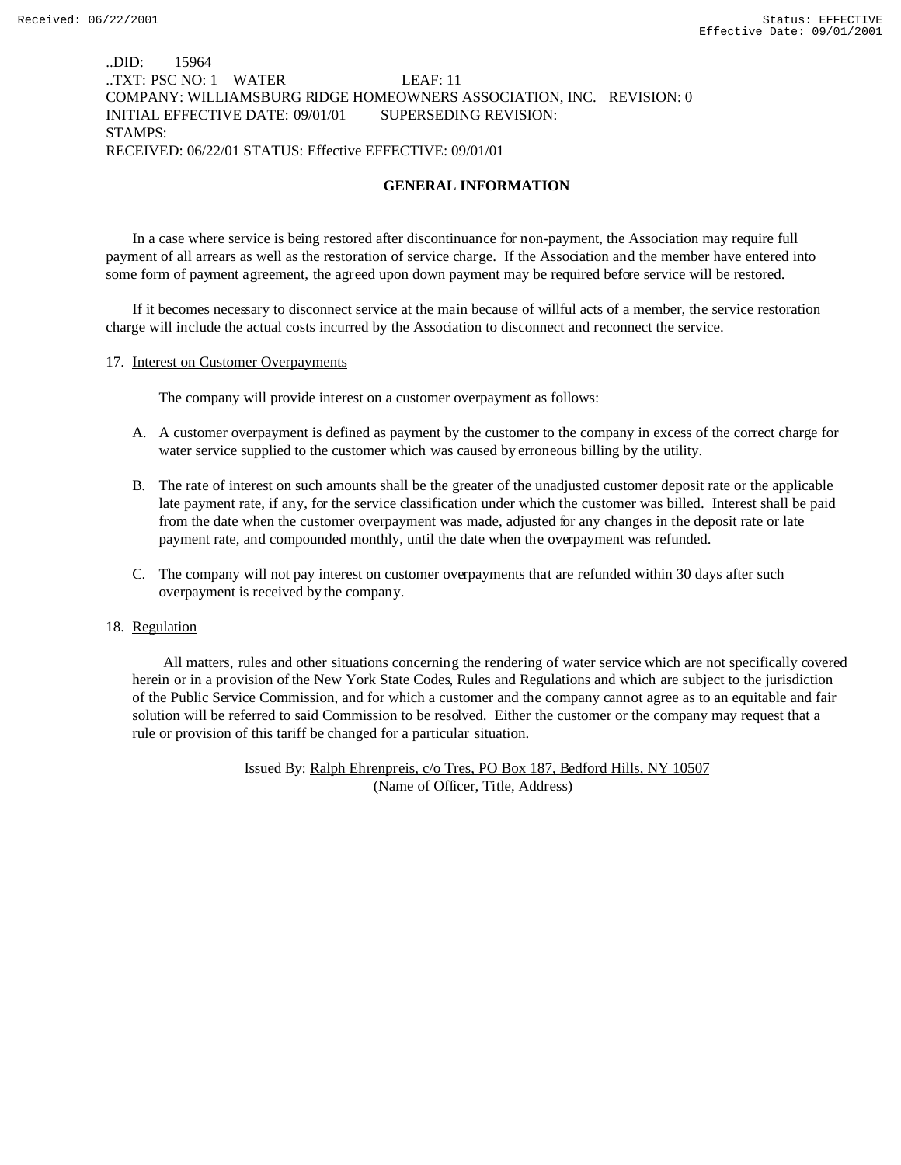## ..DID: 15964 ..TXT: PSC NO: 1 WATER LEAF: 11 COMPANY: WILLIAMSBURG RIDGE HOMEOWNERS ASSOCIATION, INC. REVISION: 0 INITIAL EFFECTIVE DATE: 09/01/01 SUPERSEDING REVISION: STAMPS: RECEIVED: 06/22/01 STATUS: Effective EFFECTIVE: 09/01/01

## **GENERAL INFORMATION**

In a case where service is being restored after discontinuance for non-payment, the Association may require full payment of all arrears as well as the restoration of service charge. If the Association and the member have entered into some form of payment agreement, the agreed upon down payment may be required before service will be restored.

If it becomes necessary to disconnect service at the main because of willful acts of a member, the service restoration charge will include the actual costs incurred by the Association to disconnect and reconnect the service.

### 17. Interest on Customer Overpayments

The company will provide interest on a customer overpayment as follows:

- A. A customer overpayment is defined as payment by the customer to the company in excess of the correct charge for water service supplied to the customer which was caused by erroneous billing by the utility.
- B. The rate of interest on such amounts shall be the greater of the unadjusted customer deposit rate or the applicable late payment rate, if any, for the service classification under which the customer was billed. Interest shall be paid from the date when the customer overpayment was made, adjusted for any changes in the deposit rate or late payment rate, and compounded monthly, until the date when the overpayment was refunded.
- C. The company will not pay interest on customer overpayments that are refunded within 30 days after such overpayment is received by the company.

### 18. Regulation

 All matters, rules and other situations concerning the rendering of water service which are not specifically covered herein or in a provision of the New York State Codes, Rules and Regulations and which are subject to the jurisdiction of the Public Service Commission, and for which a customer and the company cannot agree as to an equitable and fair solution will be referred to said Commission to be resolved. Either the customer or the company may request that a rule or provision of this tariff be changed for a particular situation.